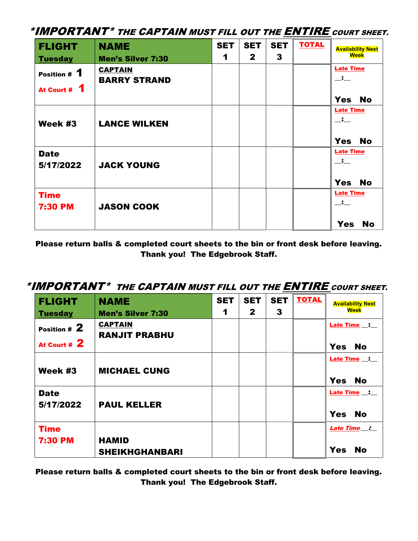| <b>FLIGHT</b>                | <b>NAME</b>                                | <b>SET</b> | <b>SET</b><br>$\mathbf{2}$ | <b>SET</b><br>3 | <b>TOTAL</b> | <b>Availability Next</b><br><b>Week</b> |
|------------------------------|--------------------------------------------|------------|----------------------------|-----------------|--------------|-----------------------------------------|
| <b>Tuesday</b>               | <b>Men's Silver 7:30</b><br><b>CAPTAIN</b> | 1          |                            |                 |              | <b>Late Time</b>                        |
| Position # 1<br>At Court # 1 | <b>BARRY STRAND</b>                        |            |                            |                 |              | —'—                                     |
|                              |                                            |            |                            |                 |              | <b>Yes</b><br><b>No</b>                 |
|                              |                                            |            |                            |                 |              | <b>Late Time</b><br>$\Box$              |
| Week #3                      | <b>LANCE WILKEN</b>                        |            |                            |                 |              |                                         |
|                              |                                            |            |                            |                 |              | <b>Yes</b><br><b>No</b>                 |
| <b>Date</b><br>5/17/2022     | <b>JACK YOUNG</b>                          |            |                            |                 |              | <b>Late Time</b><br>$\Box$              |
|                              |                                            |            |                            |                 |              | Yes No                                  |
| <b>Time</b>                  |                                            |            |                            |                 |              | <b>Late Time</b><br>$-$                 |
| <b>7:30 PM</b>               | <b>JASON COOK</b>                          |            |                            |                 |              |                                         |
|                              |                                            |            |                            |                 |              | <b>Yes</b><br><b>No</b>                 |

Please return balls & completed court sheets to the bin or front desk before leaving. Thank you! The Edgebrook Staff.

## \*IMPORTANT\* THE CAPTAIN MUST FILL OUT THE ENTIRE COURT SHEET.

| <b>FLIGHT</b>                 | <b>NAME</b>                            | <b>SET</b> | <b>SET</b>   | <b>SET</b> | <b>TOTAL</b> | <b>Availability Next</b>                |
|-------------------------------|----------------------------------------|------------|--------------|------------|--------------|-----------------------------------------|
| <b>Tuesday</b>                | <b>Men's Silver 7:30</b>               | 1          | $\mathbf{2}$ | 3          |              | <b>Week</b>                             |
| Position # 2<br>At Court # 2  | <b>CAPTAIN</b><br><b>RANJIT PRABHU</b> |            |              |            |              | Late Time _:<br><b>Yes</b><br>No        |
| Week #3                       | <b>MICHAEL CUNG</b>                    |            |              |            |              | Late Time _:<br><b>Yes</b><br><b>No</b> |
| <b>Date</b><br>5/17/2022      | <b>PAUL KELLER</b>                     |            |              |            |              | Late Time _:<br><b>Yes</b><br><b>No</b> |
| <b>Time</b><br><b>7:30 PM</b> | <b>HAMID</b><br><b>SHEIKHGHANBARI</b>  |            |              |            |              | Late Time _:<br><b>Yes</b><br><b>No</b> |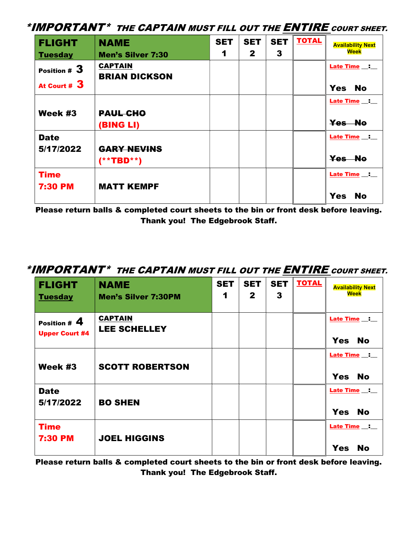| <b>FLIGHT</b>                   | <b>NAME</b>                            | <b>SET</b> | <b>SET</b>   | <b>SET</b> | <b>TOTAL</b> | <b>Availability Next</b>                           |
|---------------------------------|----------------------------------------|------------|--------------|------------|--------------|----------------------------------------------------|
| <b>Tuesday</b>                  | <b>Men's Silver 7:30</b>               | 1          | $\mathbf{2}$ | 3          |              | Week                                               |
| Position $#3$<br>At Court # $3$ | <b>CAPTAIN</b><br><b>BRIAN DICKSON</b> |            |              |            |              | <b>Late Time __: __</b><br><b>Yes</b><br><b>No</b> |
|                                 |                                        |            |              |            |              |                                                    |
| Week #3                         | <b>PAUL CHO</b><br>(BING LI)           |            |              |            |              | Late Time _: __<br>Yes No                          |
| <b>Date</b><br>5/17/2022        | <b>GARY NEVINS</b><br>$(**TBD**)$      |            |              |            |              | Late Time _: _<br>Yes No                           |
| <b>Time</b><br><b>7:30 PM</b>   | <b>MATT KEMPF</b>                      |            |              |            |              | Late Time _: _<br><b>Yes</b><br><b>No</b>          |

Please return balls & completed court sheets to the bin or front desk before leaving. Thank you! The Edgebrook Staff.

## \*IMPORTANT\* THE CAPTAIN MUST FILL OUT THE ENTIRE COURT SHEET.

| <b>FLIGHT</b><br><b>Tuesday</b>         | <b>NAME</b><br><b>Men's Silver 7:30PM</b> | <b>SET</b><br>1 | <b>SET</b><br>$\mathbf{2}$ | <b>SET</b><br>$\mathbf{3}$ | <b>TOTAL</b> | <b>Availability Next</b><br>Week                   |
|-----------------------------------------|-------------------------------------------|-----------------|----------------------------|----------------------------|--------------|----------------------------------------------------|
| Position $# 4$<br><b>Upper Court #4</b> | <b>CAPTAIN</b><br><b>LEE SCHELLEY</b>     |                 |                            |                            |              | <b>Late Time __: __</b><br><b>No</b><br><b>Yes</b> |
| Week #3                                 | <b>SCOTT ROBERTSON</b>                    |                 |                            |                            |              | Late Time _:<br><b>Yes</b><br><b>No</b>            |
| <b>Date</b><br>5/17/2022                | <b>BO SHEN</b>                            |                 |                            |                            |              | Late Time _:<br><b>No</b><br><b>Yes</b>            |
| <b>Time</b><br><b>7:30 PM</b>           | <b>JOEL HIGGINS</b>                       |                 |                            |                            |              | Late Time _:<br><b>Yes</b><br><b>No</b>            |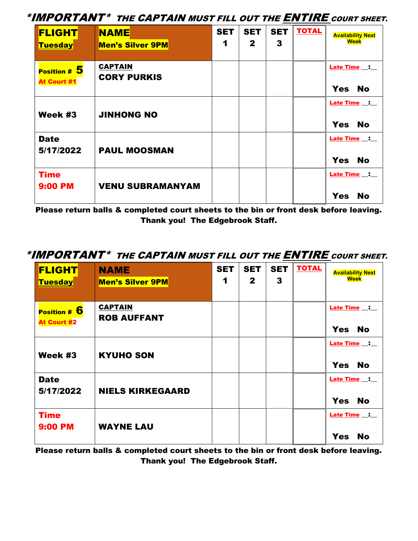| <b>FLIGHT</b><br><b>Tuesday</b>      | <b>NAME</b><br><b>Men's Silver 9PM</b> | <b>SET</b><br>1 | <b>SET</b><br>$\mathbf{2}$ | <b>SET</b><br>3 | <b>TOTAL</b> | <b>Availability Next</b><br>Week         |
|--------------------------------------|----------------------------------------|-----------------|----------------------------|-----------------|--------------|------------------------------------------|
| Position $# 5$<br><b>At Court #1</b> | <b>CAPTAIN</b><br><b>CORY PURKIS</b>   |                 |                            |                 |              | Late Time _:<br><b>Yes</b><br><b>No</b>  |
| Week #3                              | <b>JINHONG NO</b>                      |                 |                            |                 |              | Late Time _:<br>Yes No                   |
| <b>Date</b><br>5/17/2022             | <b>PAUL MOOSMAN</b>                    |                 |                            |                 |              | Late Time __:<br>Yes No                  |
| <b>Time</b><br><b>9:00 PM</b>        | <b>VENU SUBRAMANYAM</b>                |                 |                            |                 |              | Late Time __:<br><b>Yes</b><br><b>No</b> |

Please return balls & completed court sheets to the bin or front desk before leaving. Thank you! The Edgebrook Staff.

## \*IMPORTANT\* THE CAPTAIN MUST FILL OUT THE ENTIRE COURT SHEET.

| <b>FLIGHT</b><br><b>Tuesday</b>    | <b>NAME</b><br><b>Men's Silver 9PM</b> | <b>SET</b><br>1 | <b>SET</b><br>$\mathbf{2}$ | <b>SET</b><br>3 | <b>TOTAL</b> | <b>Availability Next</b><br>Week                                  |
|------------------------------------|----------------------------------------|-----------------|----------------------------|-----------------|--------------|-------------------------------------------------------------------|
| Position # 6<br><b>At Court #2</b> | <b>CAPTAIN</b><br><b>ROB AUFFANT</b>   |                 |                            |                 |              | Late Time :<br><b>Yes</b><br>No                                   |
| Week #3                            | <b>KYUHO SON</b>                       |                 |                            |                 |              | Late Time $\qquad \qquad \blacksquare$<br><b>No</b><br><b>Yes</b> |
| <b>Date</b><br>5/17/2022           | <b>NIELS KIRKEGAARD</b>                |                 |                            |                 |              | Late Time _: _<br><b>Yes</b><br><b>No</b>                         |
| <b>Time</b><br><b>9:00 PM</b>      | <b>WAYNE LAU</b>                       |                 |                            |                 |              | Late Time _: _<br><b>Yes</b><br>No                                |